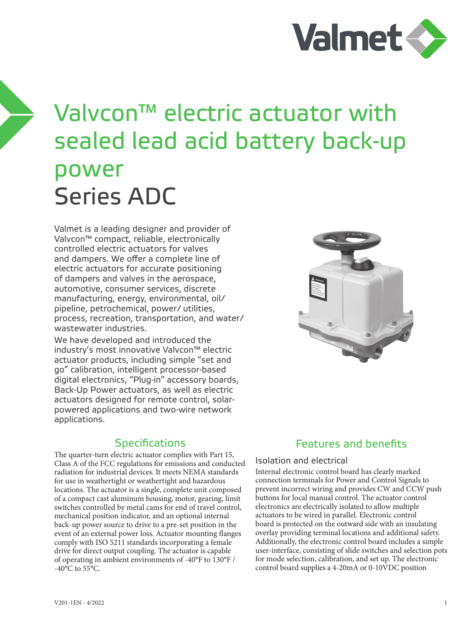

# Valvcon™ electric actuator with sealed lead acid battery back-up power Series ADC

Valmet is a leading designer and provider of Valvcon™ compact, reliable, electronically controlled electric actuators for valves and dampers. We offer a complete line of electric actuators for accurate positioning of dampers and valves in the aerospace, automotive, consumer services, discrete manufacturing, energy, environmental, oil/ pipeline, petrochemical, power/ utilities, process, recreation, transportation, and water/ wastewater industries.

We have developed and introduced the industry's most innovative Valvcon™ electric actuator products, including simple "set and go" calibration, intelligent processor-based digital electronics, "Plug-in" accessory boards, Back-Up Power actuators, as well as electric actuators designed for remote control, solarpowered applications and two-wire network applications.

## **Specifications**

The quarter-turn electric actuator complies with Part 15, Class A of the FCC regulations for emissions and conducted radiation for industrial devices. It meets NEMA standards for use in weathertight or weathertight and hazardous locations. The actuator is a single, complete unit composed of a compact cast aluminum housing, motor, gearing, limit switches controlled by metal cams for end of travel control, mechanical position indicator, and an optional internal back-up power source to drive to a pre-set position in the event of an external power loss. Actuator mounting flanges comply with ISO 5211 standards incorporating a female drive for direct output coupling. The actuator is capable of operating in ambient environments of -40°F to 130°F /  $-40\degree$ C to 55 $\degree$ C.



## Features and benefits

#### Isolation and electrical

Internal electronic control board has clearly marked connection terminals for Power and Control Signals to prevent incorrect wiring and provides CW and CCW push buttons for local manual control. The actuator control electronics are electrically isolated to allow multiple actuators to be wired in parallel. Electronic control board is protected on the outward side with an insulating overlay providing terminal locations and additional safety. Additionally, the electronic control board includes a simple user-interface, consisting of slide switches and selection pots for mode selection, calibration, and set up. The electronic control board supplies a 4-20mA or 0-10VDC position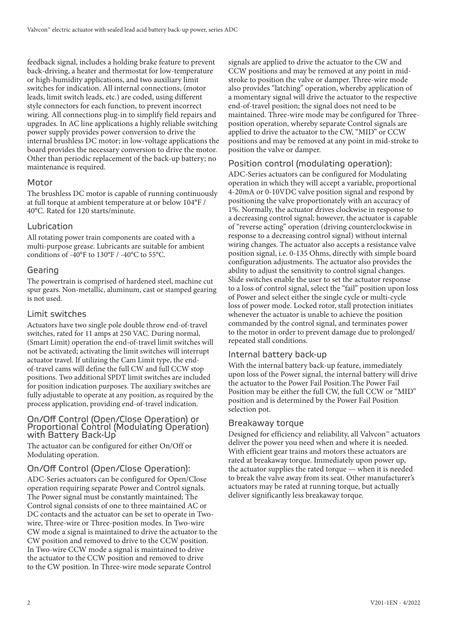feedback signal, includes a holding brake feature to prevent back-driving, a heater and thermostat for low-temperature or high-humidity applications, and two auxiliary limit switches for indication. All internal connections, (motor leads, limit switch leads, etc.) are coded, using different style connectors for each function, to prevent incorrect wiring. All connections plug-in to simplify field repairs and upgrades. In AC line applications a highly reliable switching power supply provides power conversion to drive the internal brushless DC motor; in low-voltage applications the board provides the necessary conversion to drive the motor. Other than periodic replacement of the back-up battery; no maintenance is required.

#### Motor

The brushless DC motor is capable of running continuously at full torque at ambient temperature at or below 104°F / 40°C. Rated for 120 starts/minute.

## Lubrication

All rotating power train components are coated with a multi-purpose grease. Lubricants are suitable for ambient conditions of -40°F to 130°F / -40°C to 55°C.

## Gearing

The powertrain is comprised of hardened steel, machine cut spur gears. Non-metallic, aluminum, cast or stamped gearing is not used.

#### Limit switches

Actuators have two single pole double throw end-of-travel switches, rated for 11 amps at 250 VAC. During normal, (Smart Limit) operation the end-of-travel limit switches will not be activated; activating the limit switches will interrupt actuator travel. If utilizing the Cam Limit type, the endof-travel cams will define the full CW and full CCW stop positions. Two additional SPDT limit switches are included for position indication purposes. The auxiliary switches are fully adjustable to operate at any position, as required by the process application, providing end-of-travel indication.

#### On/Off Control (Open/Close Operation) or Proportional Control (Modulating Operation) with Battery Back-Up

The actuator can be configured for either On/Off or Modulating operation.

#### On/Off Control (Open/Close Operation):

ADC-Series actuators can be configured for Open/Close operation requiring separate Power and Control signals. The Power signal must be constantly maintained; The Control signal consists of one to three maintained AC or DC contacts and the actuator can be set to operate in Twowire, Three-wire or Three-position modes. In Two-wire CW mode a signal is maintained to drive the actuator to the CW position and removed to drive to the CCW position. In Two-wire CCW mode a signal is maintained to drive the actuator to the CCW position and removed to drive to the CW position. In Three-wire mode separate Control

signals are applied to drive the actuator to the CW and CCW positions and may be removed at any point in midstroke to position the valve or damper. Three-wire mode also provides "latching" operation, whereby application of a momentary signal will drive the actuator to the respective end-of-travel position; the signal does not need to be maintained. Three-wire mode may be configured for Threeposition operation, whereby separate Control signals are applied to drive the actuator to the CW, "MID" or CCW positions and may be removed at any point in mid-stroke to position the valve or damper.

## Position control (modulating operation):

ADC-Series actuators can be configured for Modulating operation in which they will accept a variable, proportional 4-20mA or 0-10VDC valve position signal and respond by positioning the valve proportionately with an accuracy of 1%. Normally, the actuator drives clockwise in response to a decreasing control signal; however, the actuator is capable of "reverse acting" operation (driving counterclockwise in response to a decreasing control signal) without internal wiring changes. The actuator also accepts a resistance valve position signal, i.e. 0-135 Ohms, directly with simple board configuration adjustments. The actuator also provides the ability to adjust the sensitivity to control signal changes. Slide switches enable the user to set the actuator response to a loss of control signal, select the "fail" position upon loss of Power and select either the single cycle or multi-cycle loss of power mode. Locked rotor, stall protection initiates whenever the actuator is unable to achieve the position commanded by the control signal, and terminates power to the motor in order to prevent damage due to prolonged/ repeated stall conditions.

#### Internal battery back-up

With the internal battery back-up feature, immediately upon loss of the Power signal, the internal battery will drive the actuator to the Power Fail Position.The Power Fail Position may be either the full CW, the full CCW or "MID" position and is determined by the Power Fail Position selection pot.

#### Breakaway torque

Designed for efficiency and reliability, all Valvcon™ actuators deliver the power you need when and where it is needed. With efficient gear trains and motors these actuators are rated at breakaway torque. Immediately upon power up, the actuator supplies the rated torque — when it is needed to break the valve away from its seat. Other manufacturer's actuators may be rated at running torque, but actually deliver significantly less breakaway torque.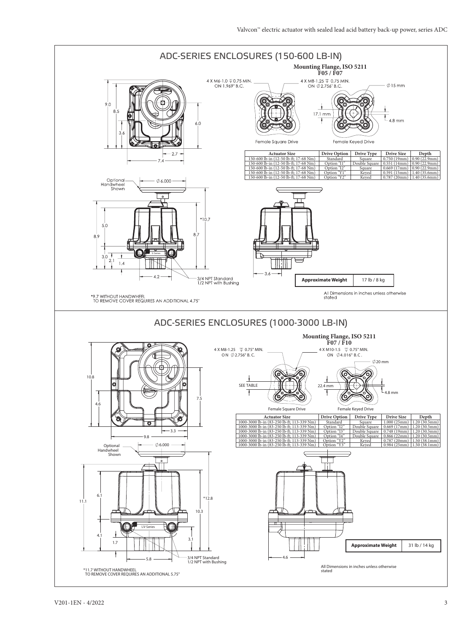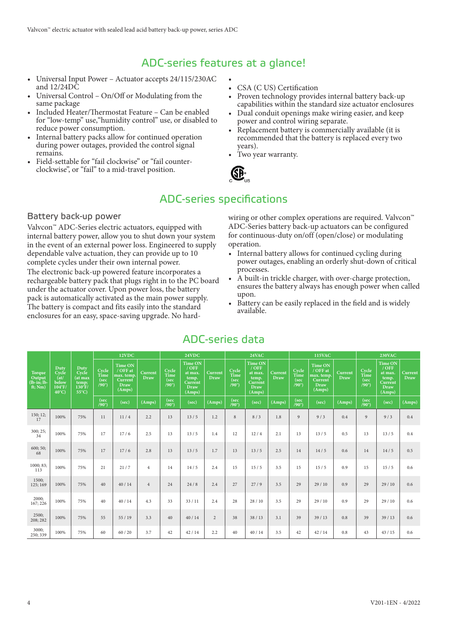## ADC-series features at a glance!

- Universal Input Power Actuator accepts 24/115/230AC and 12/24DC
- Universal Control On/Off or Modulating from the same package
- Included Heater/Thermostat Feature Can be enabled for "low-temp" use,"humidity control" use, or disabled to reduce power consumption.
- Internal battery packs allow for continued operation during power outages, provided the control signal remains.
- Field-settable for "fail clockwise" or "fail counterclockwise", or "fail" to a mid-travel position.
- • CSA (C US) Certification
- Proven technology provides internal battery back-up capabilities within the standard size actuator enclosures
- Dual conduit openings make wiring easier, and keep power and control wiring separate.
- Replacement battery is commercially available (it is recommended that the battery is replaced every two years).
- Two year warranty.



# ADC-series specifications

Battery back-up power

Valvcon™ ADC-Series electric actuators, equipped with internal battery power, allow you to shut down your system in the event of an external power loss. Engineered to supply dependable valve actuation, they can provide up to 10 complete cycles under their own internal power. The electronic back-up powered feature incorporates a rechargeable battery pack that plugs right in to the PC board under the actuator cover. Upon power loss, the battery pack is automatically activated as the main power supply. The battery is compact and fits easily into the standard enclosures for an easy, space-saving upgrade. No hardwiring or other complex operations are required. Valvcon™ ADC-Series battery back-up actuators can be configured for continuous-duty on/off (open/close) or modulating operation.

- Internal battery allows for continued cycling during power outages, enabling an orderly shut-down of critical processes.
- A built-in trickle charger, with over-charge protection, ensures the battery always has enough power when called upon.
- Battery can be easily replaced in the field and is widely available.

|                                           |                                                                       |                                                                          |                                       | 12VDC                                                                        |                 |                                       | 24VDC                                                                      |                 |                                       | 24VAC                                                                      |                 |                                       | <b>115VAC</b>                                                  |                               |                                       | <b>230VAC</b>                                                              |                        |
|-------------------------------------------|-----------------------------------------------------------------------|--------------------------------------------------------------------------|---------------------------------------|------------------------------------------------------------------------------|-----------------|---------------------------------------|----------------------------------------------------------------------------|-----------------|---------------------------------------|----------------------------------------------------------------------------|-----------------|---------------------------------------|----------------------------------------------------------------|-------------------------------|---------------------------------------|----------------------------------------------------------------------------|------------------------|
| Torque<br>Output<br>lb-in; lb-<br>ft; Nm) | Duty<br>Cycle<br>(at)<br>below<br>$104^{\circ}$ F/<br>$40^{\circ}$ C) | Duty<br>Cycle<br>(at max<br>temp;<br>$130^{\circ}$ F/<br>$55^{\circ}$ C) | Cycle<br>Time<br>(sec<br>$(90^\circ)$ | <b>Time ON</b><br>/ OFF at<br>max. temp.<br>Current<br><b>Draw</b><br>(Amps) | Current<br>Draw | Cycle<br>Time<br>(sec<br>$(90^\circ)$ | <b>Time ON</b><br>$/$ OFF<br>at max.<br>temp.<br>Current<br>Draw<br>(Amps) | Current<br>Draw | Cycle<br>Time<br>(sec<br>$(90^\circ)$ | Time ON<br>$/$ OFF<br>at max.<br>temp.<br>Current<br><b>Draw</b><br>(Amps) | Current<br>Draw | Cycle<br>Time<br>(sec<br>$(90^\circ)$ | Time ON<br>/ OFF at<br>max. temp.<br>Current<br>Draw<br>(Amps) | <b>Current</b><br><b>Draw</b> | Cycle<br>Time<br>(sec<br>$(90^\circ)$ | <b>Time ON</b><br>$/$ OFF<br>at max.<br>temp.<br>Current<br>Draw<br>(Amps) | Current<br><b>Draw</b> |
|                                           |                                                                       |                                                                          | (sec<br>$(90^\circ)$                  | (sec)                                                                        | (Amps)          | (sec<br>$(90^\circ)$                  | (sec)                                                                      | (Amps)          | (sec<br>$(90^\circ)$                  | (sec)                                                                      | (Amps)          | (sec<br>$(90^\circ)$                  | (sec)                                                          | (Amps)                        | (sec<br>$(90^\circ)$                  | (sec)                                                                      | (Amps)                 |
| 150; 12;<br>17                            | 100%                                                                  | 75%                                                                      | 11                                    | 11/4                                                                         | 2.2             | 13                                    | 13/5                                                                       | 1.2             | 8                                     | 8/3                                                                        | 1.8             | 9                                     | 9/3                                                            | 0.4                           | 9                                     | 9/3                                                                        | 0.4                    |
| 300; 25;<br>34                            | 100%                                                                  | 75%                                                                      | 17                                    | 17/6                                                                         | 2.5             | 13                                    | 13/5                                                                       | 1.4             | 12                                    | 12/4                                                                       | 2.1             | 13                                    | 13/5                                                           | 0.5                           | 13                                    | 13/5                                                                       | 0.4                    |
| 600; 50;<br>68                            | 100%                                                                  | 75%                                                                      | 17                                    | 17/6                                                                         | 2.8             | 13                                    | 13/5                                                                       | 1.7             | 13                                    | 13/5                                                                       | 2.5             | 14                                    | 14/5                                                           | 0.6                           | 14                                    | 14/5                                                                       | 0.5                    |
| 1000; 83;<br>113                          | 100%                                                                  | 75%                                                                      | 21                                    | 21/7                                                                         | $\overline{4}$  | 14                                    | 14/5                                                                       | 2.4             | 15                                    | 15/5                                                                       | 3.5             | 15                                    | 15/5                                                           | 0.9                           | 15                                    | 15/5                                                                       | 0.6                    |
| 1500;<br>125; 169                         | 100%                                                                  | 75%                                                                      | 40                                    | 40/14                                                                        | $\overline{4}$  | 24                                    | 24/8                                                                       | 2.4             | 27                                    | 27/9                                                                       | 3.5             | 29                                    | 29/10                                                          | 0.9                           | 29                                    | 29/10                                                                      | 0.6                    |
| 2000;<br>167; 226                         | 100%                                                                  | 75%                                                                      | 40                                    | 40/14                                                                        | 4.3             | 33                                    | 33/11                                                                      | 2.4             | 28                                    | 28/10                                                                      | 3.5             | 29                                    | 29/10                                                          | 0.9                           | 29                                    | 29/10                                                                      | 0.6                    |
| 2500;<br>208; 282                         | 100%                                                                  | 75%                                                                      | 55                                    | 55/19                                                                        | 3.3             | 40                                    | 40/14                                                                      | $\overline{2}$  | 38                                    | 38/13                                                                      | 3.1             | 39                                    | 39/13                                                          | 0.8                           | 39                                    | 39/13                                                                      | 0.6                    |
| 3000;<br>250; 339                         | 100%                                                                  | 75%                                                                      | 60                                    | 60/20                                                                        | 3.7             | 42                                    | 42/14                                                                      | 2.2             | 40                                    | 40/14                                                                      | 3.5             | 42                                    | 42/14                                                          | 0.8                           | 43                                    | 43/15                                                                      | 0.6                    |

## ADC-series data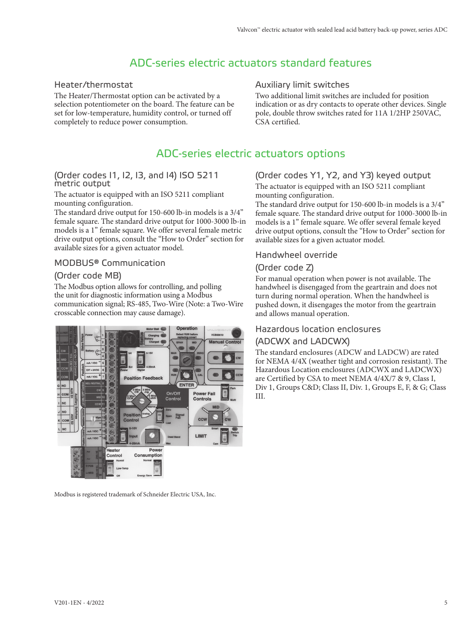# ADC-series electric actuators standard features

#### Heater/thermostat

The Heater/Thermostat option can be activated by a selection potentiometer on the board. The feature can be set for low-temperature, humidity control, or turned off completely to reduce power consumption.

## Auxiliary limit switches

Two additional limit switches are included for position indication or as dry contacts to operate other devices. Single pole, double throw switches rated for 11A 1/2HP 250VAC, CSA certified.

## ADC-series electric actuators options

#### (Order codes I1, I2, I3, and I4) ISO 5211 metric output

The actuator is equipped with an ISO 5211 compliant mounting configuration.

The standard drive output for 150-600 lb-in models is a 3/4" female square. The standard drive output for 1000-3000 lb-in models is a 1" female square. We offer several female metric drive output options, consult the "How to Order" section for available sizes for a given actuator model.

#### MODBUS® Communication

## (Order code MB)

The Modbus option allows for controlling, and polling the unit for diagnostic information using a Modbus communication signal; RS-485, Two-Wire (Note: a Two-Wire crosscable connection may cause damage).



Modbus is registered trademark of Schneider Electric USA, Inc.

#### (Order codes Y1, Y2, and Y3) keyed output The actuator is equipped with an ISO 5211 compliant mounting configuration.

The standard drive output for 150-600 lb-in models is a 3/4" female square. The standard drive output for 1000-3000 lb-in models is a 1" female square. We offer several female keyed drive output options, consult the "How to Order" section for available sizes for a given actuator model.

#### Handwheel override

#### (Order code Z)

For manual operation when power is not available. The handwheel is disengaged from the geartrain and does not turn during normal operation. When the handwheel is pushed down, it disengages the motor from the geartrain and allows manual operation.

#### Hazardous location enclosures

#### (ADCWX and LADCWX)

The standard enclosures (ADCW and LADCW) are rated for NEMA 4/4X (weather tight and corrosion resistant). The Hazardous Location enclosures (ADCWX and LADCWX) are Certified by CSA to meet NEMA 4/4X/7 & 9, Class I, Div 1, Groups C&D; Class II, Div. 1, Groups E, F, & G; Class III.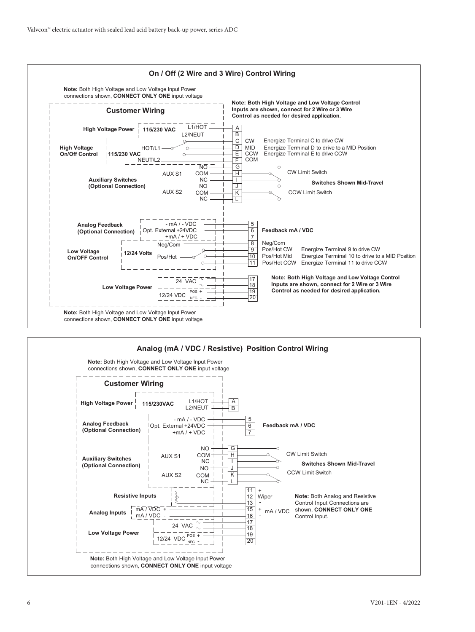

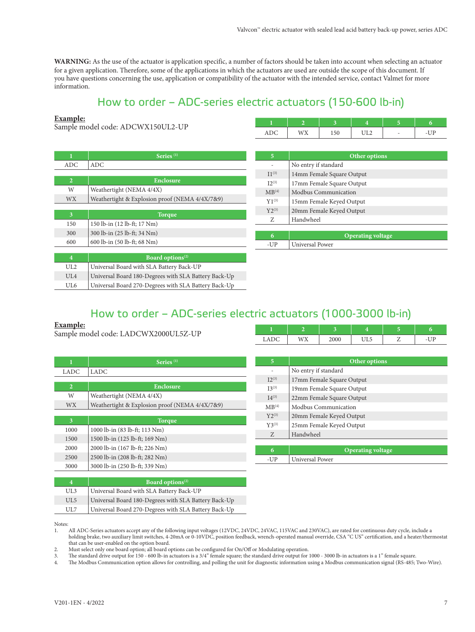**WARNING:** As the use of the actuator is application specific, a number of factors should be taken into account when selecting an actuator for a given application. Therefore, some of the applications in which the actuators are used are outside the scope of this document. If you have questions concerning the use, application or compatibility of the actuator with the intended service, contact Valmet for more information.

## How to order – ADC-series electric actuators (150-600 lb-in)

#### **Example:**

Sample model code: ADCWX150UL2-UP **<sup>1</sup> <sup>2</sup> <sup>3</sup> <sup>4</sup> <sup>5</sup> <sup>6</sup>**

| 11DQ | <b>IATV</b><br>$x \rightarrow y$ | 1. JU | ◡⊥∠ | $\sim$ | $\equiv$<br>╰ |
|------|----------------------------------|-------|-----|--------|---------------|

| 1              | $S$ eries <sup>(1)</sup>                             |
|----------------|------------------------------------------------------|
| ADC            | ADC                                                  |
|                |                                                      |
| $\overline{2}$ | Enclosure                                            |
| W              | Weathertight (NEMA 4/4X)                             |
| <b>WX</b>      | Weathertight & Explosion proof (NEMA 4/4X/7&9)       |
|                |                                                      |
| 3              | <b>Torque</b>                                        |
| 150            | 150 lb-in (12 lb-ft; 17 Nm)                          |
| 300            | 300 lb-in (25 lb-ft; 34 Nm)                          |
| 600            | 600 lb-in (50 lb-ft; 68 Nm)                          |
|                |                                                      |
| $\overline{4}$ | Board options <sup>(2)</sup>                         |
| UL2            | Universal Board with SLA Battery Back-UP             |
| UIA            | Universal Board 180-Degrees with SLA Battery Back-Up |
| UL6            | Universal Board 270-Degrees with SLA Battery Back-Up |

| 5                 | Other options             |  |  |  |  |  |
|-------------------|---------------------------|--|--|--|--|--|
|                   | No entry if standard      |  |  |  |  |  |
| $11^{(3)}$        | 14mm Female Square Output |  |  |  |  |  |
| $12^{(3)}$        | 17mm Female Square Output |  |  |  |  |  |
| MB <sup>(4)</sup> | Modbus Communication      |  |  |  |  |  |
| $Y1^{(3)}$        | 15mm Female Keyed Output  |  |  |  |  |  |
| $Y2^{(3)}$        | 20mm Female Keyed Output  |  |  |  |  |  |
| Z                 | Handwheel                 |  |  |  |  |  |
|                   |                           |  |  |  |  |  |
| 6                 | <b>Operating voltage</b>  |  |  |  |  |  |
| -UP               | Universal Power           |  |  |  |  |  |

## How to order – ADC-series electric actuators (1000-3000 lb-in)

#### **Example:**

Sample model code: LADCWX2000UL5Z-UP **<sup>1</sup> <sup>2</sup> <sup>3</sup> <sup>4</sup> <sup>5</sup> <sup>6</sup>**

| 1              | $S$ eries <sup>(1)</sup>                       |  |  |  |  |  |
|----------------|------------------------------------------------|--|--|--|--|--|
| LADC           | LADC                                           |  |  |  |  |  |
|                |                                                |  |  |  |  |  |
| $\overline{2}$ | Enclosure                                      |  |  |  |  |  |
| W              | Weathertight (NEMA 4/4X)                       |  |  |  |  |  |
| WX.            | Weathertight & Explosion proof (NEMA 4/4X/7&9) |  |  |  |  |  |
|                |                                                |  |  |  |  |  |
| 3              | <b>Torque</b>                                  |  |  |  |  |  |
| 1000           | 1000 lb-in (83 lb-ft; 113 Nm)                  |  |  |  |  |  |
| 1500           | 1500 lb-in (125 lb-ft; 169 Nm)                 |  |  |  |  |  |
| 2000           | 2000 lb-in (167 lb-ft; 226 Nm)                 |  |  |  |  |  |
| 2500           | 2500 lb-in (208 lb-ft; 282 Nm)                 |  |  |  |  |  |
| 3000           | 3000 lb-in (250 lb-ft; 339 Nm)                 |  |  |  |  |  |
|                |                                                |  |  |  |  |  |
| 4              | <b>Board options</b> <sup>(2)</sup>            |  |  |  |  |  |

UL5 Universal Board 180-Degrees with SLA Battery Back-Up UL7 Universal Board 270-Degrees with SLA Battery Back-Up

UL3 Universal Board with SLA Battery Back-UP

| AD<br>◡<br>ᆈ | M <sub>V</sub><br>77 | 2000 | ر به | - | $\overline{\phantom{a}}$ |
|--------------|----------------------|------|------|---|--------------------------|
|              |                      |      |      |   |                          |

| 5                 | Other options             |  |  |  |  |
|-------------------|---------------------------|--|--|--|--|
|                   | No entry if standard      |  |  |  |  |
| $I2^{(3)}$        | 17mm Female Square Output |  |  |  |  |
| $I3^{(3)}$        | 19mm Female Square Output |  |  |  |  |
| $I4^{(3)}$        | 22mm Female Square Output |  |  |  |  |
| MB <sup>(4)</sup> | Modbus Communication      |  |  |  |  |
| $Y2^{(3)}$        | 20mm Female Keyed Output  |  |  |  |  |
| $Y3^{(3)}$        | 25mm Female Keyed Output  |  |  |  |  |
| Z                 | Handwheel                 |  |  |  |  |
|                   |                           |  |  |  |  |
| 6                 | <b>Operating voltage</b>  |  |  |  |  |
| -UP               | Universal Power           |  |  |  |  |

Notes:

1. All ADC-Series actuators accept any of the following input voltages (12VDC, 24VDC, 24VAC, 115VAC and 230VAC), are rated for continuous duty cycle, include a holding brake, two auxiliary limit switches, 4-20mA or 0-10VDC, position feedback, wrench-operated manual override, CSA "C US" certification, and a heater/thermostat that can be user-enabled on the option board.

2. Must select only one board option; all board options can be configured for On/Off or Modulating operation.

3. The standard drive output for 150 - 600 lb-in actuators is a 3/4" female square; the standard drive output for 1000 - 3000 lb-in actuators is a 1" female square.<br>4. The Modbus Communication option allows for controlling

4. The Modbus Communication option allows for controlling, and polling the unit for diagnostic information using a Modbus communication signal (RS-485; Two-Wire).